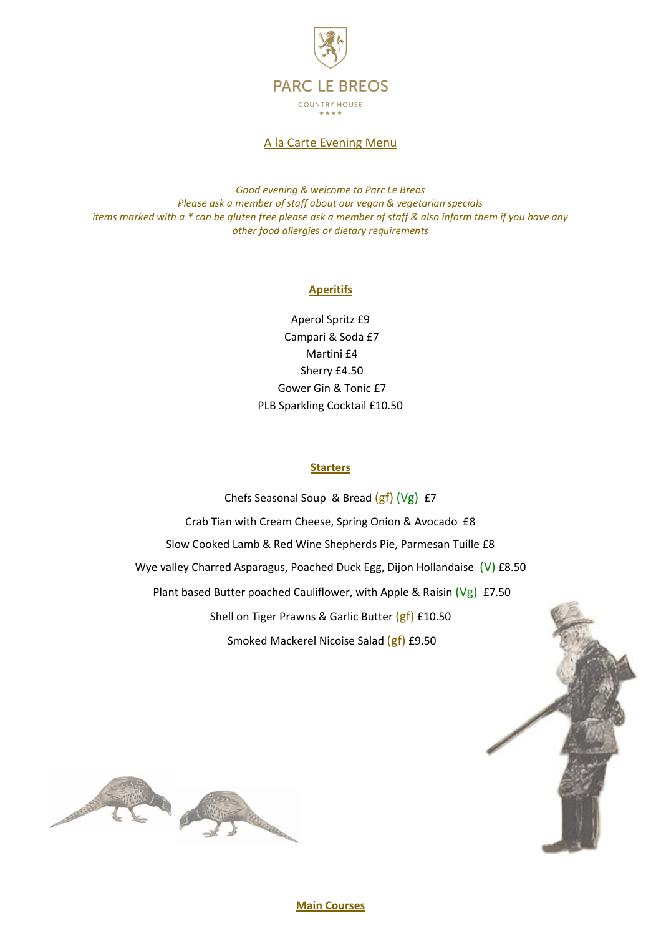

A la Carte Evening Menu

*Good evening & welcome to Parc Le Breos Please ask a member of staff about our vegan & vegetarian specials items marked with a \* can be gluten free please ask a member of staff & also inform them if you have any other food allergies or dietary requirements* 

#### **Aperitifs**

Aperol Spritz £9 Campari & Soda £7 Martini £4 Sherry £4.50 Gower Gin & Tonic £7 PLB Sparkling Cocktail £10.50

#### **Starters**

Chefs Seasonal Soup & Bread (gf) (Vg) £7 Crab Tian with Cream Cheese, Spring Onion & Avocado £8 Slow Cooked Lamb & Red Wine Shepherds Pie, Parmesan Tuille £8 Wye valley Charred Asparagus, Poached Duck Egg, Dijon Hollandaise (V) £8.50 Plant based Butter poached Cauliflower, with Apple & Raisin (Vg) £7.50 Shell on Tiger Prawns & Garlic Butter (gf) £10.50 Smoked Mackerel Nicoise Salad (gf) £9.50



# **Main Courses**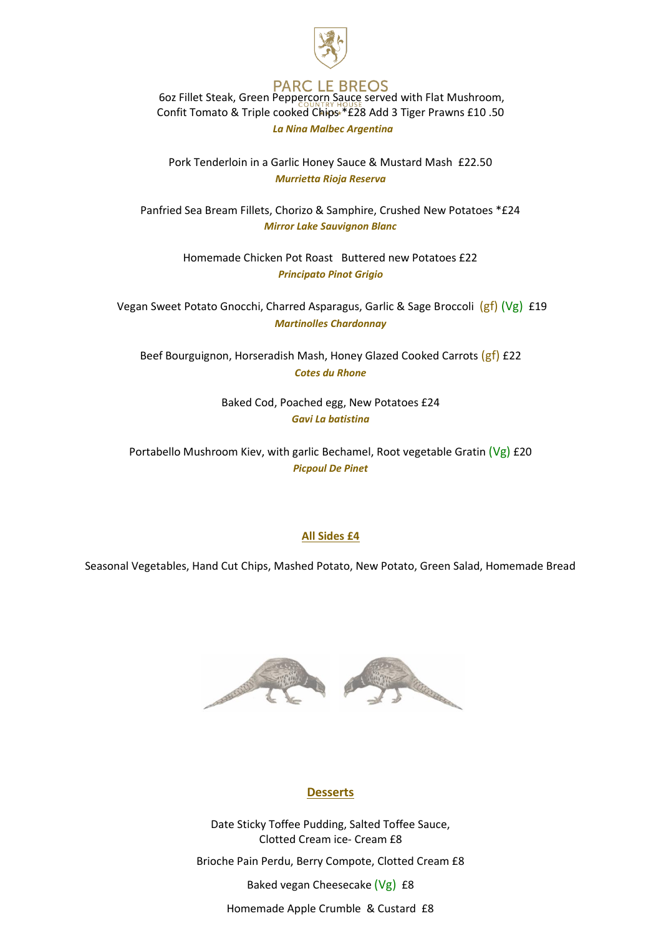

### **PARC LE BREOS** 6oz Fillet Steak, Green Peppercorn Sauce served with Flat Mushroom, Confit Tomato & Triple cooked Chips \*£28 Add 3 Tiger Prawns £10 .50  *La Nina Malbec Argentina*

Pork Tenderloin in a Garlic Honey Sauce & Mustard Mash £22.50 *Murrietta Rioja Reserva* 

Panfried Sea Bream Fillets, Chorizo & Samphire, Crushed New Potatoes \*£24 *Mirror Lake Sauvignon Blanc*

> Homemade Chicken Pot Roast Buttered new Potatoes £22 *Principato Pinot Grigio*

Vegan Sweet Potato Gnocchi, Charred Asparagus, Garlic & Sage Broccoli (gf) (Vg) £19 *Martinolles Chardonnay*

Beef Bourguignon, Horseradish Mash, Honey Glazed Cooked Carrots (gf) £22 *Cotes du Rhone* 

> Baked Cod, Poached egg, New Potatoes £24 *Gavi La batistina*

Portabello Mushroom Kiev, with garlic Bechamel, Root vegetable Gratin  $(Vg)$  £20 *Picpoul De Pinet* 

# **All Sides £4**

Seasonal Vegetables, Hand Cut Chips, Mashed Potato, New Potato, Green Salad, Homemade Bread



# **Desserts**

Date Sticky Toffee Pudding, Salted Toffee Sauce, Clotted Cream ice- Cream £8

Brioche Pain Perdu, Berry Compote, Clotted Cream £8

Baked vegan Cheesecake (Vg) £8

Homemade Apple Crumble & Custard £8